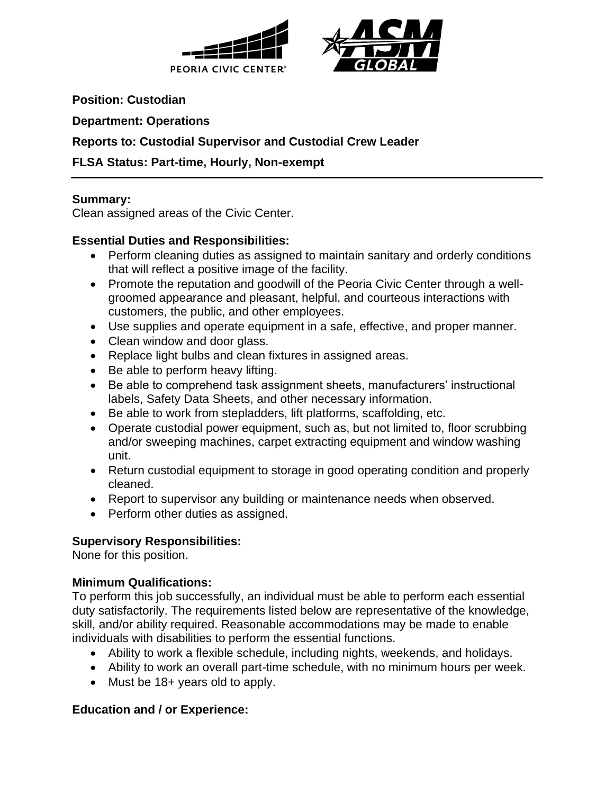



**Position: Custodian**

**Department: Operations**

# **Reports to: Custodial Supervisor and Custodial Crew Leader**

# **FLSA Status: Part-time, Hourly, Non-exempt**

#### **Summary:**

Clean assigned areas of the Civic Center.

# **Essential Duties and Responsibilities:**

- Perform cleaning duties as assigned to maintain sanitary and orderly conditions that will reflect a positive image of the facility.
- Promote the reputation and goodwill of the Peoria Civic Center through a wellgroomed appearance and pleasant, helpful, and courteous interactions with customers, the public, and other employees.
- Use supplies and operate equipment in a safe, effective, and proper manner.
- Clean window and door glass.
- Replace light bulbs and clean fixtures in assigned areas.
- Be able to perform heavy lifting.
- Be able to comprehend task assignment sheets, manufacturers' instructional labels, Safety Data Sheets, and other necessary information.
- Be able to work from stepladders, lift platforms, scaffolding, etc.
- Operate custodial power equipment, such as, but not limited to, floor scrubbing and/or sweeping machines, carpet extracting equipment and window washing unit.
- Return custodial equipment to storage in good operating condition and properly cleaned.
- Report to supervisor any building or maintenance needs when observed.
- Perform other duties as assigned.

# **Supervisory Responsibilities:**

None for this position.

# **Minimum Qualifications:**

To perform this job successfully, an individual must be able to perform each essential duty satisfactorily. The requirements listed below are representative of the knowledge, skill, and/or ability required. Reasonable accommodations may be made to enable individuals with disabilities to perform the essential functions.

- Ability to work a flexible schedule, including nights, weekends, and holidays.
- Ability to work an overall part-time schedule, with no minimum hours per week.
- Must be 18+ years old to apply.

# **Education and / or Experience:**